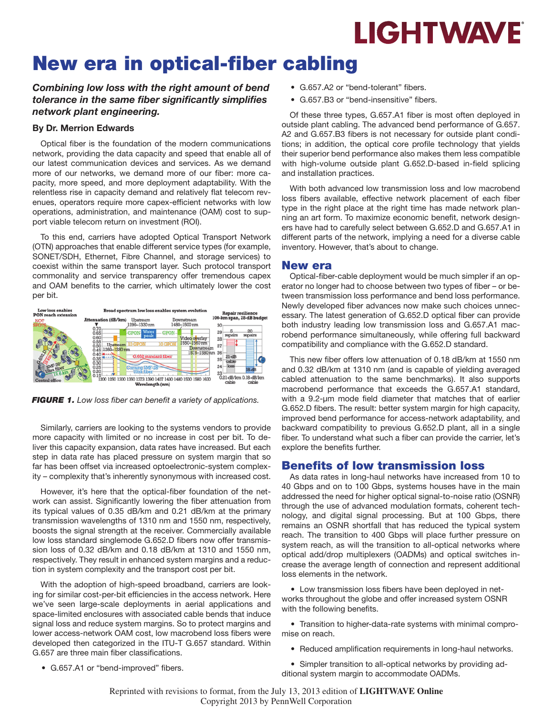

# New era in optical-fiber cabling

#### *Combining low loss with the right amount of bend tolerance in the same fiber significantly simplifies network plant engineering.*

#### By Dr. Merrion Edwards

Optical fiber is the foundation of the modern communications network, providing the data capacity and speed that enable all of our latest communication devices and services. As we demand more of our networks, we demand more of our fiber: more capacity, more speed, and more deployment adaptability. With the relentless rise in capacity demand and relatively flat telecom revenues, operators require more capex-efficient networks with low operations, administration, and maintenance (OAM) cost to support viable telecom return on investment (ROI).

To this end, carriers have adopted Optical Transport Network (OTN) approaches that enable different service types (for example, SONET/SDH, Ethernet, Fibre Channel, and storage services) to coexist within the same transport layer. Such protocol transport commonality and service transparency offer tremendous capex and OAM benefits to the carrier, which ultimately lower the cost per bit.



*FIGURE 1. Low loss fiber can benefit a variety of applications.*

Similarly, carriers are looking to the systems vendors to provide more capacity with limited or no increase in cost per bit. To deliver this capacity expansion, data rates have increased. But each step in data rate has placed pressure on system margin that so far has been offset via increased optoelectronic-system complexity – complexity that's inherently synonymous with increased cost.

However, it's here that the optical-fiber foundation of the network can assist. Significantly lowering the fiber attenuation from its typical values of 0.35 dB/km and 0.21 dB/km at the primary transmission wavelengths of 1310 nm and 1550 nm, respectively, boosts the signal strength at the receiver. Commercially available low loss standard singlemode G.652.D fibers now offer transmission loss of 0.32 dB/km and 0.18 dB/km at 1310 and 1550 nm, respectively. They result in enhanced system margins and a reduction in system complexity and the transport cost per bit.

With the adoption of high-speed broadband, carriers are looking for similar cost-per-bit efficiencies in the access network. Here we've seen large-scale deployments in aerial applications and space-limited enclosures with associated cable bends that induce signal loss and reduce system margins. So to protect margins and lower access-network OAM cost, low macrobend loss fibers were developed then categorized in the ITU-T G.657 standard. Within G.657 are three main fiber classifications.

- • G.657.A2 or "bend-tolerant" fibers.
- • G.657.B3 or "bend-insensitive" fibers.

Of these three types, G.657.A1 fiber is most often deployed in outside plant cabling. The advanced bend performance of G.657. A2 and G.657.B3 fibers is not necessary for outside plant conditions; in addition, the optical core profile technology that yields their superior bend performance also makes them less compatible with high-volume outside plant G.652.D-based in-field splicing and installation practices.

With both advanced low transmission loss and low macrobend loss fibers available, effective network placement of each fiber type in the right place at the right time has made network planning an art form. To maximize economic benefit, network designers have had to carefully select between G.652.D and G.657.A1 in different parts of the network, implying a need for a diverse cable inventory. However, that's about to change.

#### New era

Optical-fiber-cable deployment would be much simpler if an operator no longer had to choose between two types of fiber – or between transmission loss performance and bend loss performance. Newly developed fiber advances now make such choices unnecessary. The latest generation of G.652.D optical fiber can provide both industry leading low transmission loss and G.657.A1 macrobend performance simultaneously, while offering full backward compatibility and compliance with the G.652.D standard.

This new fiber offers low attenuation of 0.18 dB/km at 1550 nm and 0.32 dB/km at 1310 nm (and is capable of yielding averaged cabled attenuation to the same benchmarks). It also supports macrobend performance that exceeds the G.657.A1 standard, with a 9.2-µm mode field diameter that matches that of earlier G.652.D fibers. The result: better system margin for high capacity, improved bend performance for access-network adaptability, and backward compatibility to previous G.652.D plant, all in a single fiber. To understand what such a fiber can provide the carrier, let's explore the benefits further.

### Benefits of low transmission loss

As data rates in long-haul networks have increased from 10 to 40 Gbps and on to 100 Gbps, systems houses have in the main addressed the need for higher optical signal-to-noise ratio (OSNR) through the use of advanced modulation formats, coherent technology, and digital signal processing. But at 100 Gbps, there remains an OSNR shortfall that has reduced the typical system reach. The transition to 400 Gbps will place further pressure on system reach, as will the transition to all-optical networks where optical add/drop multiplexers (OADMs) and optical switches increase the average length of connection and represent additional loss elements in the network.

• Low transmission loss fibers have been deployed in networks throughout the globe and offer increased system OSNR with the following benefits.

• Transition to higher-data-rate systems with minimal compromise on reach.

• Reduced amplification requirements in long-haul networks.

 • G.657.A1 or "bend-improved" fibers.

 • Simpler transition to all-optical networks by providing additional system margin to accommodate OADMs.